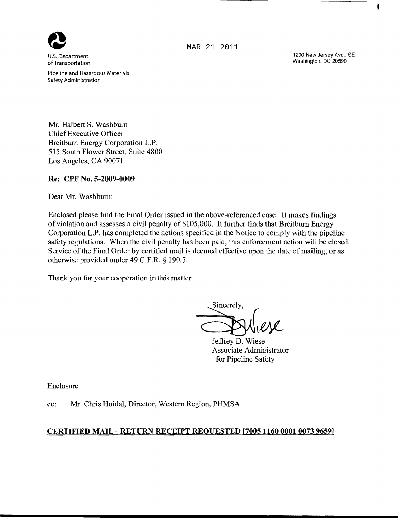

u.s. Department of Transportation

Pipeline and Hazardous Materials Safety Administration

MAR 21 2011

1200 New Jersey Ave., SE Washington, DC 20590

 $\mathbf{I}$ 

Mr. Halbert S. Washburn Chief Executive Officer Breitbum Energy Corporation L.P. 515 South Flower Street, Suite 4800 Los Angeles, CA 90071

## Re: CPF No. 5-2009-0009

Dear Mr. Washburn:

Enclosed please find the Final Order issued in the above-referenced case. It makes findings of violation and assesses a civil penalty of \$105,000. It further finds that Breitburn Energy Corporation L.P. has completed the actions specified in the Notice to comply with the pipeline safety regulations. When the civil penalty has been paid, this enforcement action will be closed. Service of the Final Order by certified mail is deemed effective upon the date of mailing, or as otherwise provided under 49 C.F.R. § 190.5.

Thank you for your cooperation in this matter.

Sincerely,<br>Jeffrey D. Wiese

Associate Administrator for Pipeline Safety

Enclosure

cc: Mr. Chris Hoidal, Director, Western Region, PHMSA

## CERTIFIED MAIL - RETURN RECEIPT REQUESTED [7005 11600001 0073 9659]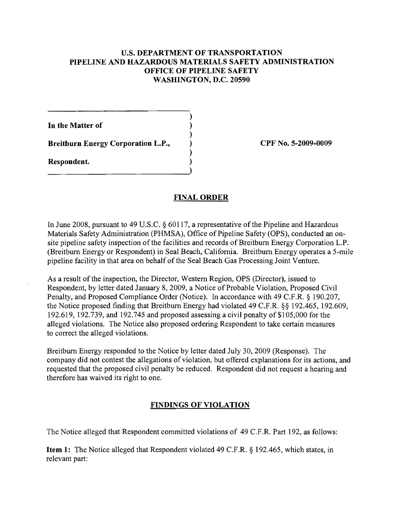## U.S. DEPARTMENT OF TRANSPORTATION PIPELINE AND HAZARDOUS MATERIALS SAFETY ADMINISTRATION OFFICE OF PIPELINE SAFETY WASHINGTON, D.C. 20590

)

)

)

)

In the Matter of

Breitburn Energy Corporation L.P.,  $\qquad \qquad$  CPF No. 5-2009-0009

Respondent. )

## FINAL ORDER

In June 2008, pursuant to 49 U.S.C. § 60117, a representative of the Pipeline and Hazardous Materials Safety Administration (PHMSA), Office of Pipeline Safety (OPS), conducted an onsite pipeline safety inspection of the facilities and records of Breitburn Energy Corporation L.P. (Breitbum Energy or Respondent) in Seal Beach, California. Breitburn Energy operates a 5-mile pipeline facility in that area on behalf of the Seal Beach Gas Processing Joint Venture.

As a result of the inspection, the Director, Western Region, OPS (Director), issued to Respondent, by letter dated January 8, 2009, a Notice of Probable Violation, Proposed Civil Penalty, and Proposed Compliance Order (Notice). In accordance with 49 C.F.R. § 190.207, the Notice proposed finding that Breitbum Energy had violated 49 C.F.R. §§ 192.465, 192.609, 192.619, 192.739, and 192.745 and proposed assessing a civil penalty of  $$105,000$  for the alleged violations. The Notice also proposed ordering Respondent to take certain measures to correct the alleged violations.

Breitbum Energy responded to the Notice by letter dated July 30, 2009 (Response). The company did not contest the allegations of violation, but offered explanations for its actions, and requested that the proposed civil penalty be reduced. Respondent did not request a hearing and therefore has waived its right to one.

# FINDINGS OF VIOLATION

The Notice alleged that Respondent committed violations of 49 C.F.R. Part 192, as follows:

Item 1: The Notice alleged that Respondent violated 49 C.F.R. § 192.465, which states, in relevant part: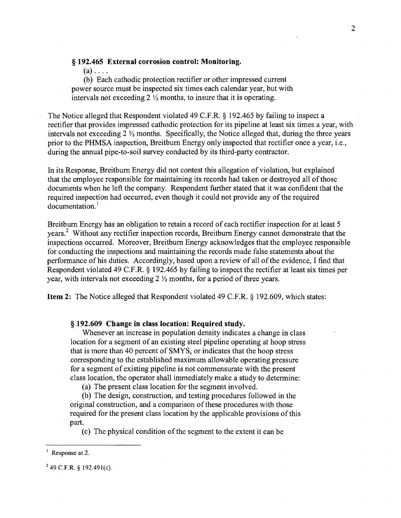### § **192.465 External** corrosion control: **Monitoring.**

 $(a)$ ....

(b) Each cathodic protection rectifier or other impressed current power source must be inspected six times each calendar year, but with intervals not exceeding 2 *Yz* months, to insure that it is operating.

The Notice alleged that Respondent violated 49 C.F.R. § 192.465 by failing to inspect a rectifier that provides impressed cathodic protection for its pipeline at least six times a year, with intervals not exceeding 2 *Yz* months. Specifically, the Notice alleged that, during the three years prior to the PHMSA inspection, Breitburn Energy only inspected that rectifier once a year, i.e., during the annual pipe-to-soil survey conducted by its third-party contractor.

In its Response, Breitburn Energy did not contest this allegation of violation, but explained that the employee responsible for maintaining its records had taken or destroyed all of those documents when he left the company. Respondent further stated that it was confident that the required inspection had occurred, even though it could not provide any of the required documentation.<sup>1</sup>

Breitburn Energy has an obligation to retain a record of each rectifier inspection for at least 5 years.<sup>2</sup> Without any rectifier inspection records, Breitburn Energy cannot demonstrate that the inspections occurred. Moreover, Breitburn Energy acknowledges that the employee responsible for conducting the inspections and maintaining the records made false statements about the performance of his duties. Accordingly, based upon a review of all of the evidence, I find that Respondent violated 49 C.F.R. § 192.465 by failing to inspect the rectifier at least six times per year, with intervals not exceeding 2 *Yz* months, for a period of three years.

**Item 2:** The Notice alleged that Respondent violated 49 C.F.R. § 192.609, which states:

§ **192.609 Change in class location: Required study.** 

Whenever an increase in population density indicates a change in class location for a segment of an existing steel pipeline operating at hoop stress that is more than 40 percent of SMYS, or indicates that the hoop stress corresponding to the established maximum allowable operating pressure for a segment of existing pipeline is not commensurate with the present class location, the operator shall immediately make a study to determine:

(a) The present class location for the segment involved.

(b) The design, construction, and testing procedures followed in the original construction, and a comparison of these procedures with those required for the present class location by the applicable provisions of this part.

(c) The physical condition of the segment to the extent it can be

Response at 2.

 $249$  C.F.R. § 192.491(c).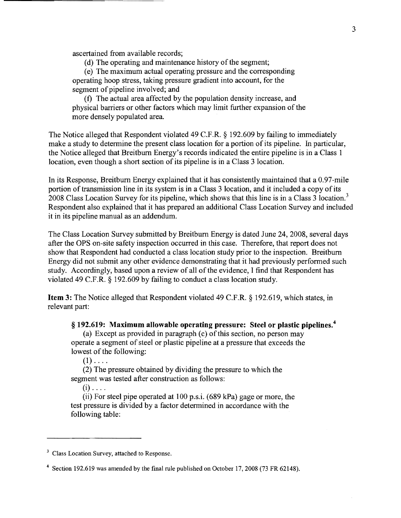ascertained from available records;

(d) The operating and maintenance history of the segment;

(e) The maximum actual operating pressure and the corresponding operating hoop stress, taking pressure gradient into account, for the segment of pipeline involved; and

(f) The actual area affected by the population density increase, and physical barriers or other factors which may limit further expansion of the more densely populated area.

The Notice alleged that Respondent violated 49 C.F.R. § 192.609 by failing to immediately make a study to determine the present class location for a portion of its pipeline. In particular, the Notice alleged that Breitbum Energy's records indicated the entire pipeline is in a Class 1 location, even though a short section of its pipeline is in a Class 3 location.

In its Response, Breitbum Energy explained that it has consistently maintained that a 0.97-mile portion of transmission line in its system is in a Class 3 location, and it included a copy of its 2008 Class Location Survey for its pipeline, which shows that this line is in a Class 3 location. 3 Respondent also explained that it has prepared an additional Class Location Survey and included it in its pipeline manual as an addendum.

The Class Location Survey submitted by Breitbum Energy is dated June 24, 2008, several days after the OPS on-site safety inspection occurred in this case. Therefore, that report does not show that Respondent had conducted a class location study prior to the inspection. Breitbum Energy did not submit any other evidence demonstrating that it had previously performed such study. Accordingly, based upon a review of all of the evidence, I find that Respondent has violated 49 C.F.R. § 192.609 by failing to conduct a class location study.

Item 3: The Notice alleged that Respondent violated 49 C.F.R. § 192.619, which states, in relevant part:

§ 192.619: Maximum allowable operating pressure: Steel or plastic pipelines.<sup>4</sup>

(a) Except as provided in paragraph  $(c)$  of this section, no person may operate a segment of steel or plastic pipeline at a pressure that exceeds the lowest of the following:

 $(1)$ ....

(2) The pressure obtained by dividing the pressure to which the segment was tested after construction as follows:

 $(i)$  ....

(ii) For steel pipe operated at 100 p.s.i. (689 kPa) gage or more, the test pressure is divided by a factor determined in accordance with the following table:

<sup>&</sup>lt;sup>3</sup> Class Location Survey, attached to Response.

<sup>4</sup> Section 192.619 was amended by the fmal rule published on October 17,2008 (73 FR 62148).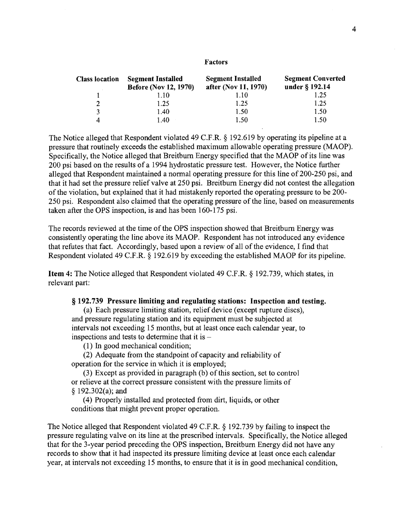#### Factors

| <b>Class location</b> | <b>Segment Installed</b><br><b>Before (Nov 12, 1970)</b> | <b>Segment Installed</b><br>after (Nov 11, 1970) | <b>Segment Converted</b><br>under $\S$ 192.14 |
|-----------------------|----------------------------------------------------------|--------------------------------------------------|-----------------------------------------------|
|                       | 1.10                                                     | 1.10                                             | 1.25                                          |
| 2                     | 1.25                                                     | 1.25                                             | 1.25                                          |
| 3                     | 1.40                                                     | 1.50                                             | 1.50                                          |
| 4                     | 1.40                                                     | 1.50                                             | 1.50                                          |

The Notice alleged that Respondent violated 49 C.F.R. § 192.619 by operating its pipeline at a pressure that routinely exceeds the established maximum allowable operating pressure (MAOP). Specifically, the Notice alleged that Breitburn Energy specified that the MAOP of its line was 200 psi based on the results of a 1994 hydrostatic pressure test. However, the Notice further alleged that Respondent maintained a normal operating pressure for this line of200-250 psi, and that it had set the pressure relief valve at 250 psi. Breitburn Energy did not contest the allegation of the violation, but explained that it had mistakenly reported the operating pressure to be 200-250 psi. Respondent also claimed that the operating pressure of the line, based on measurements taken after the OPS inspection, is and has been 160-175 psi.

The records reviewed at the time of the OPS inspection showed that Breitbum Energy was consistently operating the line above its MAOP. Respondent has not introduced any evidence that refutes that fact. Accordingly, based upon a review of all of the evidence, I find that Respondent violated 49 C.F.R. § 192.619 by exceeding the established MAOP for its pipeline.

Item 4: The Notice alleged that Respondent violated 49 C.F.R. § 192.739, which states, in relevant part:

### § 192.739 Pressure limiting and regulating stations: Inspection and testing.

(a) Each pressure limiting station, relief device (except rupture discs), and pressure regulating station and its equipment must be subjected at intervals not exceeding 15 months, but at least once each calendar year, to inspections and tests to determine that it is

(1) In good mechanical condition;

(2) Adequate from the standpoint of capacity and reliability of operation for the service in which it is employed;

(3) Except as provided in paragraph (b) ofthis section, set to control or relieve at the correct pressure consistent with the pressure limits of § 192.302(a); and

(4) Properly installed and protected from dirt, liquids, or other conditions that might prevent proper operation.

The Notice alleged that Respondent violated 49 C.F.R. § 192.739 by failing to inspect the pressure regulating valve on its line at the prescribed intervals. Specifically, the Notice alleged that for the 3-year period preceding the OPS inspection, Breitbum Energy did not have any records to show that it had inspected its pressure limiting device at least once each calendar year, at intervals not exceeding 15 months, to ensure that it is in good mechanical condition,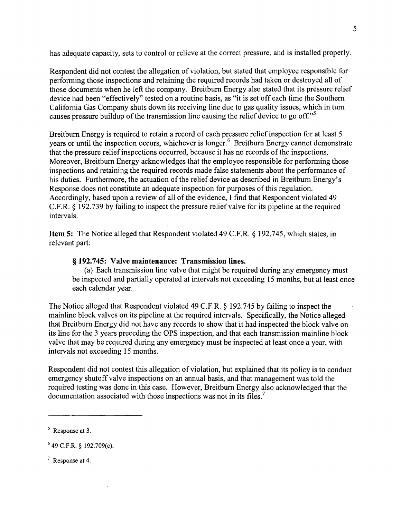has adequate capacity, sets to control or relieve at the correct pressure, and is installed properly.

Respondent did not contest the allegation of violation, but stated that employee responsible for performing those inspections and retaining the required records had taken or destroyed all of those documents when he left the company. Breitburn Energy also stated that its pressure relief device had been "effectively" tested on a routine basis, as "it is set off each time the Southern California Gas Company shuts down its receiving line due to gas quality issues, which in turn causes pressure buildup of the transmission line causing the relief device to go off.<sup> $,5$ </sup>

Breitburn Energy is required to retain a record of each pressure relief inspection for at least 5 years or until the inspection occurs, whichever is longer.<sup>6</sup> Breitburn Energy cannot demonstrate that the pressure relief inspections occurred, because it has no records of the inspections. Moreover, Breitburn Energy acknowledges that the employee responsible for performing those inspections and retaining the required records made false statements about the performance of his duties. Furthermore, the actuation of the relief device as described in Breitburn Energy's Response does not constitute an adequate inspection for purposes ofthis regulation. Accordingly, based upon a review of all of the evidence, I find that Respondent violated 49 C.F.R. § 192.739 by failing to inspect the pressure relief valve for its pipeline at the required intervals.

Item 5: The Notice alleged that Respondent violated 49 C.F.R. § 192.745, which states, in relevant part:

#### § 192.745: Valve maintenance: Transmission lines.

(a) Each transmission line valve that might be required during any emergency must be inspected and partially operated at intervals not exceeding 15 months, but at least once each calendar year.

The Notice alleged that Respondent violated 49 C.F.R. § 192.745 by failing to inspect the mainline block valves on its pipeline at the required intervals. Specifically, the Notice alleged that Breitbum Energy did not have any records to show that it had inspected the block valve on its line for the 3 years preceding the OPS inspection, and that each transmission mainline block valve that may be required during any emergency must be inspected at least once a year, with intervals not exceeding 15 months.

Respondent did not contest this allegation of violation, but explained that its policy is to conduct emergency shutoff valve inspections on an annual basis, and that management was told the required testing was done in this case. However, Breitbum Energy also acknowledged that the documentation associated with those inspections was not in its files.<sup>7</sup>

<sup>5</sup> Response at 3.

 $6$  49 C.F.R. § 192.709(c).

<sup>7</sup> Response at 4.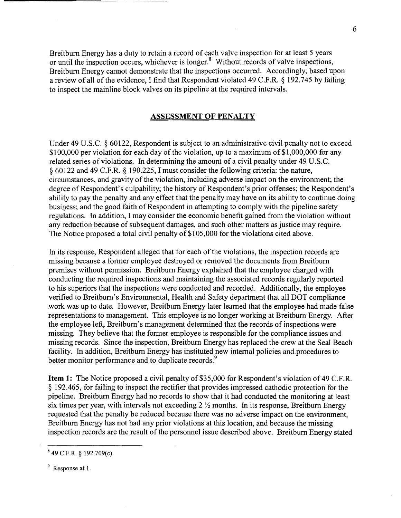Breitbum Energy has a duty to retain a record of each valve inspection for at least 5 years or until the inspection occurs, whichever is longer.<sup>8</sup> Without records of valve inspections, Breitbum Energy cannot demonstrate that the inspections occurred. Accordingly, based upon a review of all of the evidence, I find that Respondent violated 49 C.F.R. § 192.745 by failing to inspect the mainline block valves on its pipeline at the required intervals.

### **ASSESSMENT OF PENALTY**

Under 49 U.S.C. § 60122, Respondent is subject to an administrative civil penalty not to exceed \$100,000 per violation for each day of the violation, up to a maximum of \$1,000,000 for any related series ofviolations. In determining the amount of a civil penalty under 49 U.S.C. § 60122 and 49 C.F.R. § 190.225, I must consider the following criteria: the nature, circumstances, and gravity of the violation, including adverse impact on the environment; the degree of Respondent's culpability; the history of Respondent's prior offenses; the Respondent's ability to pay the penalty and any effect that the penalty may have on its ability to continue doing business; and the good faith of Respondent in attempting to comply with the pipeline safety regulations. In addition, I may consider the economic benefit gained from the violation without any reduction because of subsequent damages, and such other matters as justice may require. The Notice proposed a total civil penalty of \$105,000 for the violations cited above.

In its response, Respondent alleged that for each of the violations, the inspection records are missing because a former employee destroyed or removed the documents from Breitbum premises without permission. Breitburn Energy explained that the employee charged with conducting the required inspections and maintaining the associated records regularly reported to his superiors that the inspections were conducted and recorded. Additionally, the employee verified to Breitbum's Environmental, Health and Safety department that all DOT compliance work was up to date. However, Breitbum Energy later learned that the employee had made false representations to management. This employee is no longer working at Breitbum Energy. After the employee left, Breitburn's management determined that the records of inspections were missing. They believe that the former employee is responsible for the compliance issues and missing records. Since the inspection, Breitburn Energy has replaced the crew at the Seal Beach facility. In addition, Breitbum Energy has instituted new internal policies and procedures to better monitor performance and to duplicate records.<sup>9</sup>

Item 1: The Notice proposed a civil penalty of \$35,000 for Respondent's violation of 49 C.F.R. § 192.465, for failing to inspect the rectifier that provides impressed cathodic protection for the pipeline. Breitburn Energy had no records to show that it had conducted the monitoring at least six times per year, with intervals not exceeding  $2 \frac{1}{2}$  months. In its response, Breitburn Energy requested that the penalty be reduced because there was no adverse impact on the environment, Breitburn Energy has not had any prior violations at this location, and because the missing inspection records are the result of the personnel issue described above. Breitburn Energy stated

<sup>9</sup> Response at 1.

<sup>849</sup> C.F.R. § 192.709(c).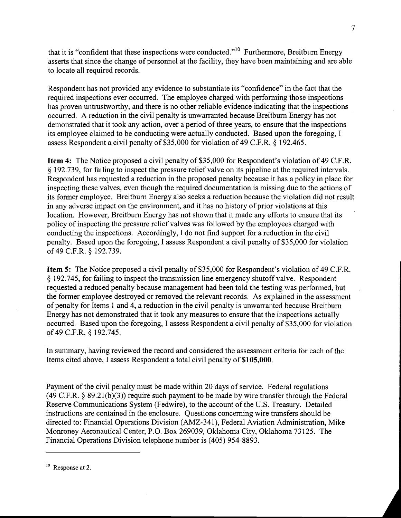that it is "confident that these inspections were conducted."<sup>10</sup> Furthermore, Breitburn Energy asserts that since the change of personnel at the facility, they have been maintaining and are able to locate all required records.

Respondent has not provided any evidence to substantiate its "confidence" in the fact that the required inspections ever occurred. The employee charged with performing those inspections has proven untrustworthy, and there is no other reliable evidence indicating that the inspections occurred. A reduction in the civil penalty is unwarranted because Breitbum Energy has not demonstrated that it took any action, over a period of three years, to ensure that the inspections its employee claimed to be conducting were actually conducted. Based upon the foregoing, I assess Respondent a civil penalty of \$35,000 for violation of 49 C.F.R. § 192.465.

**Item 4:** The Notice proposed a civil penalty of \$35,000 for Respondent's violation of 49 C.F.R. § 192.739, for failing to inspect the pressure relief valve on its pipeline at the required intervals. Respondent has requested a reduction in the proposed penalty because it has a policy in place for inspecting these valves, even though the required documentation is missing due to the actions of its former employee. Breitbum Energy also seeks a reduction because the violation did not result in any adverse impact on the environment, and it has no history of prior violations at this location. However, Breitburn Energy has not shown that it made any efforts to ensure that its policy of inspecting the pressure relief valves was followed by the employees charged with conducting the inspections. Accordingly, I do not find support for a reduction in the civil penalty. Based upon the foregoing, I assess Respondent a civil penalty of \$35,000 for violation of 49 C.F.R. § 192.739.

**Item 5:** The Notice proposed a civil penalty of \$35,000 for Respondent's violation of 49 C.F.R. § 192.745, for failing to inspect the transmission line emergency shutoff valve. Respondent requested a reduced penalty because management had been told the testing was performed, but the former employee destroyed or removed the relevant records. As explained in the assessment of penalty for Items 1 and 4, a reduction in the civil penalty is unwarranted because Breitburn Energy has not demonstrated that it took any measures to ensure that the inspections actually occurred. Based upon the foregoing, I assess Respondent a civil penalty of \$35,000 for violation of 49 C.F.R. § 192.745.

In summary, having reviewed the record and considered the assessment criteria for each of the Items cited above, I assess Respondent a total civil penalty of \$105,000.

Payment of the civil penalty must be made within 20 days of service. Federal regulations  $(49 \text{ C.F.R. } § 89.21(b)(3))$  require such payment to be made by wire transfer through the Federal Reserve Communications System (Fedwire), to the account of the U.S. Treasury. Detailed instructions are contained in the enclosure. Questions concerning wire transfers should be directed to: Financial Operations Division (AMZ-341), Federal Aviation Administration, Mike Monroney Aeronautical Center, P.O. Box 269039, Oklahoma City, Oklahoma 73125. The Financial Operations Division telephone number is (405) 954-8893.

<sup>&</sup>lt;sup>10</sup> Response at 2.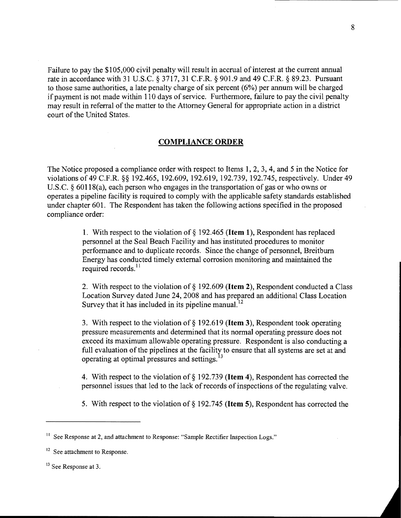Failure to pay the \$105,000 civil penalty will result in accrual of interest at the current annual rate in accordance with 31 U.S.C. § 3717, 31 C.F.R. § 901.9 and 49 C.F.R. § 89.23. Pursuant to those same authorities, a late penalty charge of six percent (6%) per annum will be charged if payment is not made within 110 days of service. Furthermore, failure to pay the civil penalty may result in referral of the matter to the Attorney General for appropriate action in a district court of the United States.

### COMPLIANCE ORDER

The Notice proposed a compliance order with respect to Items 1,2,3,4, and 5 in the Notice for violations of49 C.F.R. §§ 192.465, 192.609, 192.619, 192.739, 192.745, respectively. Under 49 U.S.C. § 60118(a), each person who engages in the transportation of gas or who owns or operates a pipeline facility is required to comply with the applicable safety standards established under chapter 601. The Respondent has taken the following actions specified in the proposed compliance order:

> 1. With respect to the violation of  $\S$  192.465 (Item 1), Respondent has replaced personnel at the Seal Beach Facility and has instituted procedures to monitor performance and to duplicate records. Since the change of personnel, Breitburn Energy has conducted timely external corrosion monitoring and maintained the required records.<sup>11</sup>

2. With respect to the violation of § 192.609 (Item 2), Respondent conducted a Class Location Survey dated June 24, 2008 and has prepared an additional Class Location Survey that it has included in its pipeline manual.<sup>12</sup>

3. With respect to the violation of § 192.619 (Item 3), Respondent took operating pressure measurements and determined that its normal operating pressure does not exceed its maximum allowable operating pressure. Respondent is also conducting a full evaluation of the pipelines at the facility to ensure that all systems are set at and operating at optimal pressures and settings.<sup>13</sup>

4. With respect to the violation of § 192.739 (Item 4), Respondent has corrected the personnel issues that led to the lack of records of inspections of the regulating valve.

5. With respect to the violation of  $\S$  192.745 (**Item 5**), Respondent has corrected the

<sup>13</sup> See Response at 3.

<sup>&</sup>lt;sup>11</sup> See Response at 2, and attachment to Response: "Sample Rectifier Inspection Logs."

<sup>&</sup>lt;sup>12</sup> See attachment to Response.